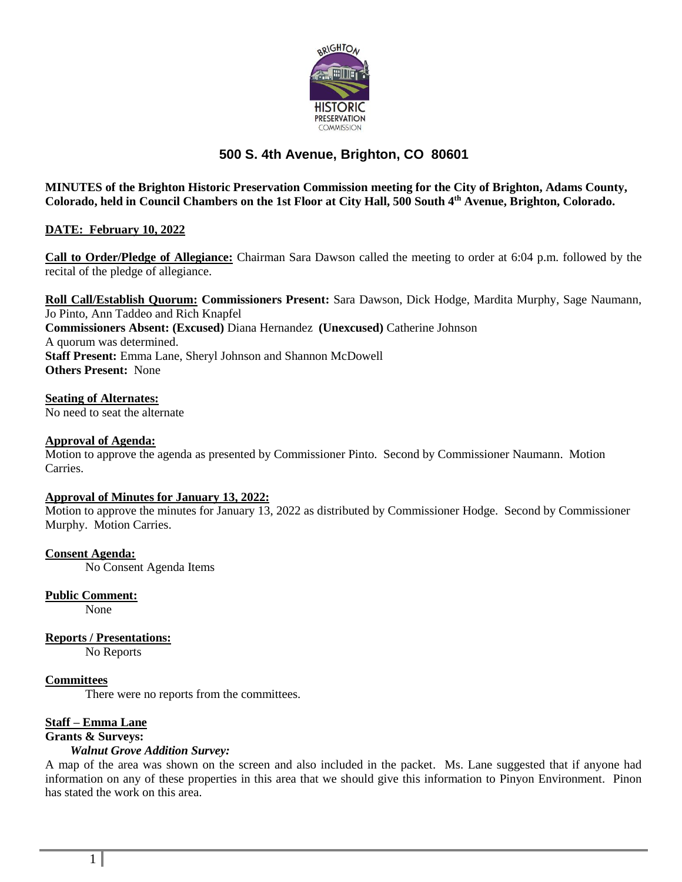

# **500 S. 4th Avenue, Brighton, CO 80601**

**MINUTES of the Brighton Historic Preservation Commission meeting for the City of Brighton, Adams County, Colorado, held in Council Chambers on the 1st Floor at City Hall, 500 South 4th Avenue, Brighton, Colorado.**

# **DATE: February 10, 2022**

**Call to Order/Pledge of Allegiance:** Chairman Sara Dawson called the meeting to order at 6:04 p.m. followed by the recital of the pledge of allegiance.

**Roll Call/Establish Quorum: Commissioners Present:** Sara Dawson, Dick Hodge, Mardita Murphy, Sage Naumann, Jo Pinto, Ann Taddeo and Rich Knapfel **Commissioners Absent: (Excused)** Diana Hernandez **(Unexcused)** Catherine Johnson A quorum was determined. **Staff Present:** Emma Lane, Sheryl Johnson and Shannon McDowell **Others Present:** None

## **Seating of Alternates:**

No need to seat the alternate

## **Approval of Agenda:**

Motion to approve the agenda as presented by Commissioner Pinto. Second by Commissioner Naumann. Motion Carries.

#### **Approval of Minutes for January 13, 2022:**

Motion to approve the minutes for January 13, 2022 as distributed by Commissioner Hodge. Second by Commissioner Murphy. Motion Carries.

#### **Consent Agenda:**

No Consent Agenda Items

**Public Comment:**

None

**Reports / Presentations:** No Reports

#### **Committees**

There were no reports from the committees.

## **Staff – Emma Lane**

#### **Grants & Surveys:**

#### *Walnut Grove Addition Survey:*

A map of the area was shown on the screen and also included in the packet. Ms. Lane suggested that if anyone had information on any of these properties in this area that we should give this information to Pinyon Environment. Pinon has stated the work on this area.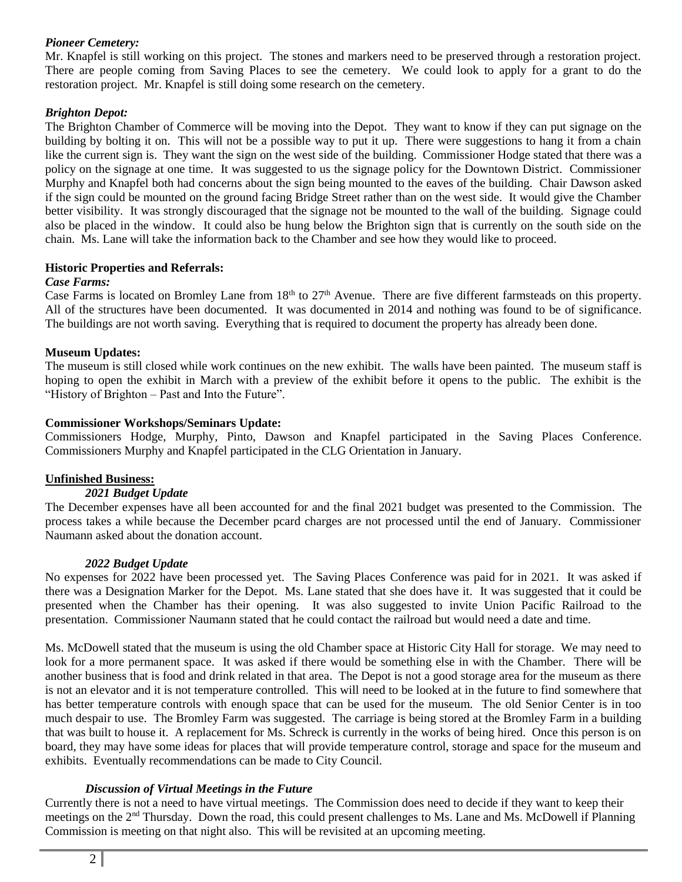## *Pioneer Cemetery:*

Mr. Knapfel is still working on this project. The stones and markers need to be preserved through a restoration project. There are people coming from Saving Places to see the cemetery. We could look to apply for a grant to do the restoration project. Mr. Knapfel is still doing some research on the cemetery.

## *Brighton Depot:*

The Brighton Chamber of Commerce will be moving into the Depot. They want to know if they can put signage on the building by bolting it on. This will not be a possible way to put it up. There were suggestions to hang it from a chain like the current sign is. They want the sign on the west side of the building. Commissioner Hodge stated that there was a policy on the signage at one time. It was suggested to us the signage policy for the Downtown District. Commissioner Murphy and Knapfel both had concerns about the sign being mounted to the eaves of the building. Chair Dawson asked if the sign could be mounted on the ground facing Bridge Street rather than on the west side. It would give the Chamber better visibility. It was strongly discouraged that the signage not be mounted to the wall of the building. Signage could also be placed in the window. It could also be hung below the Brighton sign that is currently on the south side on the chain. Ms. Lane will take the information back to the Chamber and see how they would like to proceed.

## **Historic Properties and Referrals:**

## *Case Farms:*

Case Farms is located on Bromley Lane from  $18<sup>th</sup>$  to  $27<sup>th</sup>$  Avenue. There are five different farmsteads on this property. All of the structures have been documented. It was documented in 2014 and nothing was found to be of significance. The buildings are not worth saving. Everything that is required to document the property has already been done.

## **Museum Updates:**

The museum is still closed while work continues on the new exhibit. The walls have been painted. The museum staff is hoping to open the exhibit in March with a preview of the exhibit before it opens to the public. The exhibit is the "History of Brighton – Past and Into the Future".

## **Commissioner Workshops/Seminars Update:**

Commissioners Hodge, Murphy, Pinto, Dawson and Knapfel participated in the Saving Places Conference. Commissioners Murphy and Knapfel participated in the CLG Orientation in January.

# **Unfinished Business:**

#### *2021 Budget Update*

The December expenses have all been accounted for and the final 2021 budget was presented to the Commission. The process takes a while because the December pcard charges are not processed until the end of January. Commissioner Naumann asked about the donation account.

#### *2022 Budget Update*

No expenses for 2022 have been processed yet. The Saving Places Conference was paid for in 2021. It was asked if there was a Designation Marker for the Depot. Ms. Lane stated that she does have it. It was suggested that it could be presented when the Chamber has their opening. It was also suggested to invite Union Pacific Railroad to the presentation. Commissioner Naumann stated that he could contact the railroad but would need a date and time.

Ms. McDowell stated that the museum is using the old Chamber space at Historic City Hall for storage. We may need to look for a more permanent space. It was asked if there would be something else in with the Chamber. There will be another business that is food and drink related in that area. The Depot is not a good storage area for the museum as there is not an elevator and it is not temperature controlled. This will need to be looked at in the future to find somewhere that has better temperature controls with enough space that can be used for the museum. The old Senior Center is in too much despair to use. The Bromley Farm was suggested. The carriage is being stored at the Bromley Farm in a building that was built to house it. A replacement for Ms. Schreck is currently in the works of being hired. Once this person is on board, they may have some ideas for places that will provide temperature control, storage and space for the museum and exhibits. Eventually recommendations can be made to City Council.

#### *Discussion of Virtual Meetings in the Future*

Currently there is not a need to have virtual meetings. The Commission does need to decide if they want to keep their meetings on the  $2<sup>nd</sup>$  Thursday. Down the road, this could present challenges to Ms. Lane and Ms. McDowell if Planning Commission is meeting on that night also. This will be revisited at an upcoming meeting.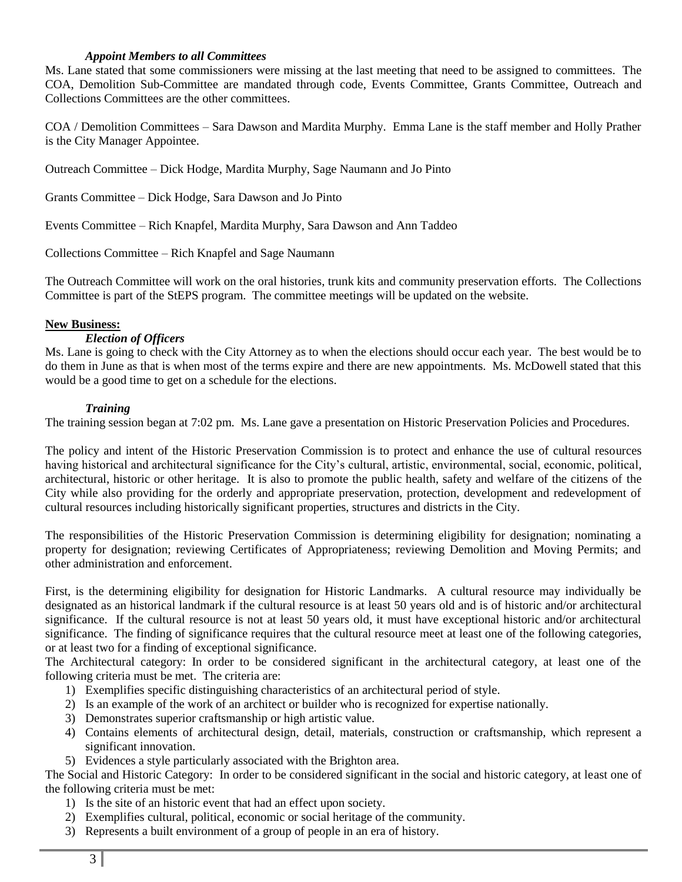#### *Appoint Members to all Committees*

Ms. Lane stated that some commissioners were missing at the last meeting that need to be assigned to committees. The COA, Demolition Sub-Committee are mandated through code, Events Committee, Grants Committee, Outreach and Collections Committees are the other committees.

COA / Demolition Committees – Sara Dawson and Mardita Murphy. Emma Lane is the staff member and Holly Prather is the City Manager Appointee.

Outreach Committee – Dick Hodge, Mardita Murphy, Sage Naumann and Jo Pinto

Grants Committee – Dick Hodge, Sara Dawson and Jo Pinto

Events Committee – Rich Knapfel, Mardita Murphy, Sara Dawson and Ann Taddeo

Collections Committee – Rich Knapfel and Sage Naumann

The Outreach Committee will work on the oral histories, trunk kits and community preservation efforts. The Collections Committee is part of the StEPS program. The committee meetings will be updated on the website.

## **New Business:**

## *Election of Officers*

Ms. Lane is going to check with the City Attorney as to when the elections should occur each year. The best would be to do them in June as that is when most of the terms expire and there are new appointments. Ms. McDowell stated that this would be a good time to get on a schedule for the elections.

## *Training*

The training session began at 7:02 pm. Ms. Lane gave a presentation on Historic Preservation Policies and Procedures.

The policy and intent of the Historic Preservation Commission is to protect and enhance the use of cultural resources having historical and architectural significance for the City's cultural, artistic, environmental, social, economic, political, architectural, historic or other heritage. It is also to promote the public health, safety and welfare of the citizens of the City while also providing for the orderly and appropriate preservation, protection, development and redevelopment of cultural resources including historically significant properties, structures and districts in the City.

The responsibilities of the Historic Preservation Commission is determining eligibility for designation; nominating a property for designation; reviewing Certificates of Appropriateness; reviewing Demolition and Moving Permits; and other administration and enforcement.

First, is the determining eligibility for designation for Historic Landmarks. A cultural resource may individually be designated as an historical landmark if the cultural resource is at least 50 years old and is of historic and/or architectural significance. If the cultural resource is not at least 50 years old, it must have exceptional historic and/or architectural significance. The finding of significance requires that the cultural resource meet at least one of the following categories, or at least two for a finding of exceptional significance.

The Architectural category: In order to be considered significant in the architectural category, at least one of the following criteria must be met. The criteria are:

- 1) Exemplifies specific distinguishing characteristics of an architectural period of style.
- 2) Is an example of the work of an architect or builder who is recognized for expertise nationally.
- 3) Demonstrates superior craftsmanship or high artistic value.
- 4) Contains elements of architectural design, detail, materials, construction or craftsmanship, which represent a significant innovation.
- 5) Evidences a style particularly associated with the Brighton area.

The Social and Historic Category: In order to be considered significant in the social and historic category, at least one of the following criteria must be met:

- 1) Is the site of an historic event that had an effect upon society.
- 2) Exemplifies cultural, political, economic or social heritage of the community.
- 3) Represents a built environment of a group of people in an era of history.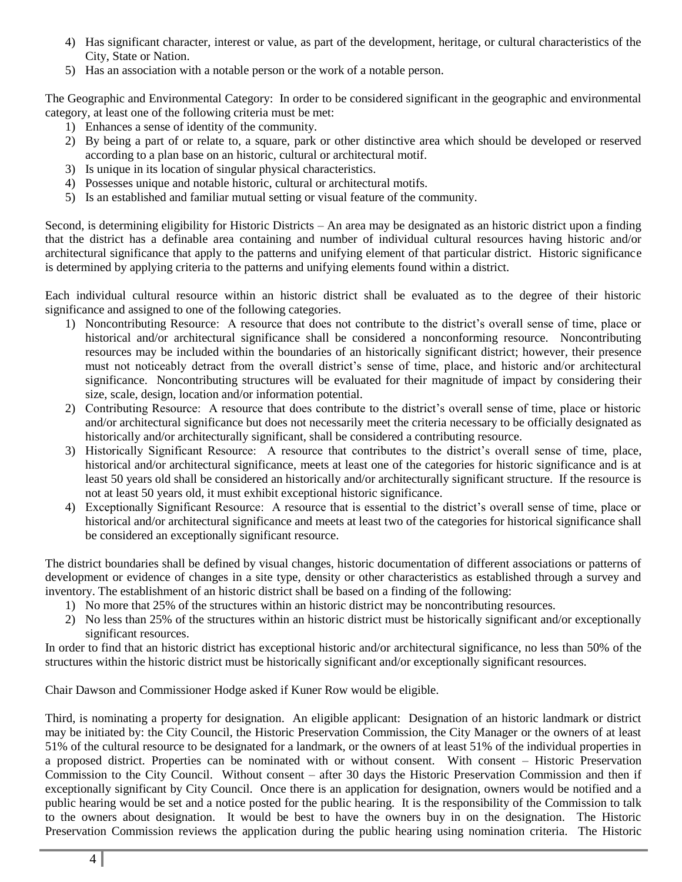- 4) Has significant character, interest or value, as part of the development, heritage, or cultural characteristics of the City, State or Nation.
- 5) Has an association with a notable person or the work of a notable person.

The Geographic and Environmental Category: In order to be considered significant in the geographic and environmental category, at least one of the following criteria must be met:

- 1) Enhances a sense of identity of the community.
- 2) By being a part of or relate to, a square, park or other distinctive area which should be developed or reserved according to a plan base on an historic, cultural or architectural motif.
- 3) Is unique in its location of singular physical characteristics.
- 4) Possesses unique and notable historic, cultural or architectural motifs.
- 5) Is an established and familiar mutual setting or visual feature of the community.

Second, is determining eligibility for Historic Districts – An area may be designated as an historic district upon a finding that the district has a definable area containing and number of individual cultural resources having historic and/or architectural significance that apply to the patterns and unifying element of that particular district. Historic significance is determined by applying criteria to the patterns and unifying elements found within a district.

Each individual cultural resource within an historic district shall be evaluated as to the degree of their historic significance and assigned to one of the following categories.

- 1) Noncontributing Resource: A resource that does not contribute to the district's overall sense of time, place or historical and/or architectural significance shall be considered a nonconforming resource. Noncontributing resources may be included within the boundaries of an historically significant district; however, their presence must not noticeably detract from the overall district's sense of time, place, and historic and/or architectural significance. Noncontributing structures will be evaluated for their magnitude of impact by considering their size, scale, design, location and/or information potential.
- 2) Contributing Resource: A resource that does contribute to the district's overall sense of time, place or historic and/or architectural significance but does not necessarily meet the criteria necessary to be officially designated as historically and/or architecturally significant, shall be considered a contributing resource.
- 3) Historically Significant Resource: A resource that contributes to the district's overall sense of time, place, historical and/or architectural significance, meets at least one of the categories for historic significance and is at least 50 years old shall be considered an historically and/or architecturally significant structure. If the resource is not at least 50 years old, it must exhibit exceptional historic significance.
- 4) Exceptionally Significant Resource: A resource that is essential to the district's overall sense of time, place or historical and/or architectural significance and meets at least two of the categories for historical significance shall be considered an exceptionally significant resource.

The district boundaries shall be defined by visual changes, historic documentation of different associations or patterns of development or evidence of changes in a site type, density or other characteristics as established through a survey and inventory. The establishment of an historic district shall be based on a finding of the following:

- 1) No more that 25% of the structures within an historic district may be noncontributing resources.
- 2) No less than 25% of the structures within an historic district must be historically significant and/or exceptionally significant resources.

In order to find that an historic district has exceptional historic and/or architectural significance, no less than 50% of the structures within the historic district must be historically significant and/or exceptionally significant resources.

Chair Dawson and Commissioner Hodge asked if Kuner Row would be eligible.

Third, is nominating a property for designation. An eligible applicant: Designation of an historic landmark or district may be initiated by: the City Council, the Historic Preservation Commission, the City Manager or the owners of at least 51% of the cultural resource to be designated for a landmark, or the owners of at least 51% of the individual properties in a proposed district. Properties can be nominated with or without consent. With consent – Historic Preservation Commission to the City Council. Without consent – after 30 days the Historic Preservation Commission and then if exceptionally significant by City Council. Once there is an application for designation, owners would be notified and a public hearing would be set and a notice posted for the public hearing. It is the responsibility of the Commission to talk to the owners about designation. It would be best to have the owners buy in on the designation. The Historic Preservation Commission reviews the application during the public hearing using nomination criteria. The Historic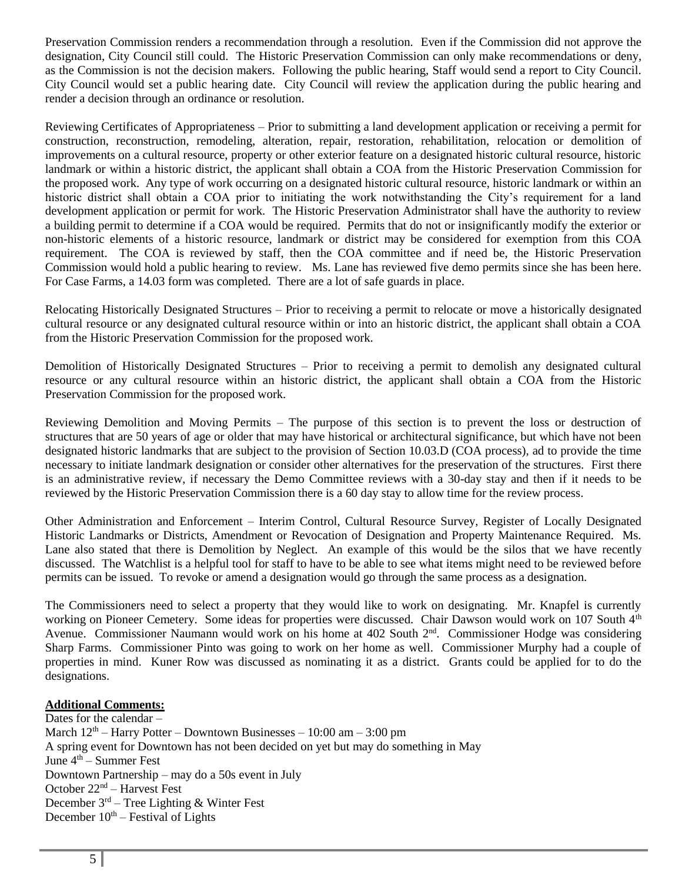Preservation Commission renders a recommendation through a resolution. Even if the Commission did not approve the designation, City Council still could. The Historic Preservation Commission can only make recommendations or deny, as the Commission is not the decision makers. Following the public hearing, Staff would send a report to City Council. City Council would set a public hearing date. City Council will review the application during the public hearing and render a decision through an ordinance or resolution.

Reviewing Certificates of Appropriateness – Prior to submitting a land development application or receiving a permit for construction, reconstruction, remodeling, alteration, repair, restoration, rehabilitation, relocation or demolition of improvements on a cultural resource, property or other exterior feature on a designated historic cultural resource, historic landmark or within a historic district, the applicant shall obtain a COA from the Historic Preservation Commission for the proposed work. Any type of work occurring on a designated historic cultural resource, historic landmark or within an historic district shall obtain a COA prior to initiating the work notwithstanding the City's requirement for a land development application or permit for work. The Historic Preservation Administrator shall have the authority to review a building permit to determine if a COA would be required. Permits that do not or insignificantly modify the exterior or non-historic elements of a historic resource, landmark or district may be considered for exemption from this COA requirement. The COA is reviewed by staff, then the COA committee and if need be, the Historic Preservation Commission would hold a public hearing to review. Ms. Lane has reviewed five demo permits since she has been here. For Case Farms, a 14.03 form was completed. There are a lot of safe guards in place.

Relocating Historically Designated Structures – Prior to receiving a permit to relocate or move a historically designated cultural resource or any designated cultural resource within or into an historic district, the applicant shall obtain a COA from the Historic Preservation Commission for the proposed work.

Demolition of Historically Designated Structures – Prior to receiving a permit to demolish any designated cultural resource or any cultural resource within an historic district, the applicant shall obtain a COA from the Historic Preservation Commission for the proposed work.

Reviewing Demolition and Moving Permits – The purpose of this section is to prevent the loss or destruction of structures that are 50 years of age or older that may have historical or architectural significance, but which have not been designated historic landmarks that are subject to the provision of Section 10.03.D (COA process), ad to provide the time necessary to initiate landmark designation or consider other alternatives for the preservation of the structures. First there is an administrative review, if necessary the Demo Committee reviews with a 30-day stay and then if it needs to be reviewed by the Historic Preservation Commission there is a 60 day stay to allow time for the review process.

Other Administration and Enforcement – Interim Control, Cultural Resource Survey, Register of Locally Designated Historic Landmarks or Districts, Amendment or Revocation of Designation and Property Maintenance Required. Ms. Lane also stated that there is Demolition by Neglect. An example of this would be the silos that we have recently discussed. The Watchlist is a helpful tool for staff to have to be able to see what items might need to be reviewed before permits can be issued. To revoke or amend a designation would go through the same process as a designation.

The Commissioners need to select a property that they would like to work on designating. Mr. Knapfel is currently working on Pioneer Cemetery. Some ideas for properties were discussed. Chair Dawson would work on 107 South 4<sup>th</sup> Avenue. Commissioner Naumann would work on his home at 402 South 2<sup>nd</sup>. Commissioner Hodge was considering Sharp Farms. Commissioner Pinto was going to work on her home as well. Commissioner Murphy had a couple of properties in mind. Kuner Row was discussed as nominating it as a district. Grants could be applied for to do the designations.

# **Additional Comments:**

Dates for the calendar – March  $12<sup>th</sup>$  – Harry Potter – Downtown Businesses – 10:00 am – 3:00 pm A spring event for Downtown has not been decided on yet but may do something in May June  $4<sup>th</sup>$  – Summer Fest Downtown Partnership – may do a 50s event in July October 22nd – Harvest Fest December  $3<sup>rd</sup>$  – Tree Lighting & Winter Fest December  $10^{th}$  – Festival of Lights